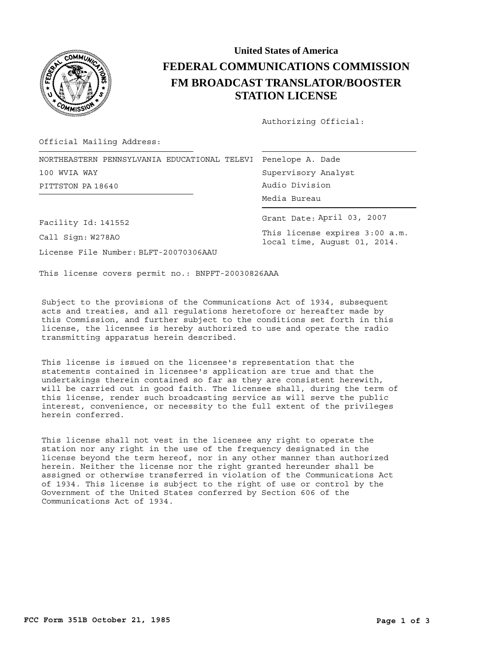

## **United States of America FEDERAL COMMUNICATIONS COMMISSION FM BROADCAST TRANSLATOR/BOOSTER STATION LICENSE**

Authorizing Official:

Official Mailing Address:

|                   | NORTHEASTERN PENNSYLVANIA EDUCATIONAL TELEVI  Penelope A. Dade |
|-------------------|----------------------------------------------------------------|
| 100 WVIA WAY      | Supervisory Anal                                               |
| PITTSTON PA 18640 | Audio Division                                                 |
|                   | Media Bureau                                                   |

Supervisory Analyst .<br>Audio Division Media Bureau

Grant Date: April 03, 2007

This license expires 3:00 a.m. local time, August 01, 2014.

Facility Id: 141552

Call Sign: W278AO

License File Number: BLFT-20070306AAU

This license covers permit no.: BNPFT-20030826AAA

Subject to the provisions of the Communications Act of 1934, subsequent acts and treaties, and all regulations heretofore or hereafter made by this Commission, and further subject to the conditions set forth in this license, the licensee is hereby authorized to use and operate the radio transmitting apparatus herein described.

This license is issued on the licensee's representation that the statements contained in licensee's application are true and that the undertakings therein contained so far as they are consistent herewith, will be carried out in good faith. The licensee shall, during the term of this license, render such broadcasting service as will serve the public interest, convenience, or necessity to the full extent of the privileges herein conferred.

This license shall not vest in the licensee any right to operate the station nor any right in the use of the frequency designated in the license beyond the term hereof, nor in any other manner than authorized herein. Neither the license nor the right granted hereunder shall be assigned or otherwise transferred in violation of the Communications Act of 1934. This license is subject to the right of use or control by the Government of the United States conferred by Section 606 of the Communications Act of 1934.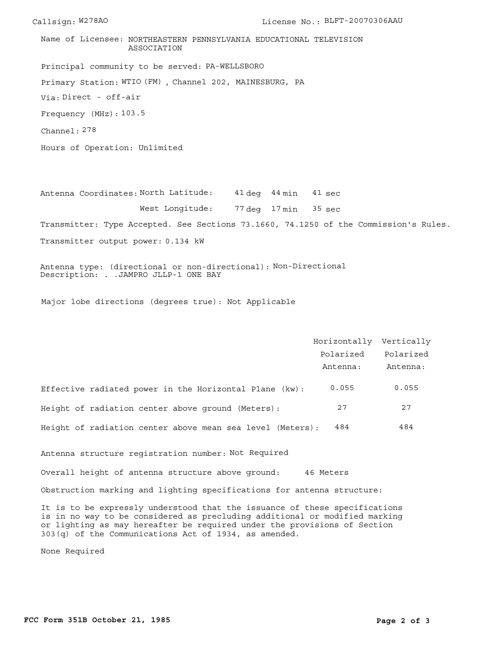Principal community to be served: PA-WELLSBORO Frequency (MHz): 103.5 Via: Direct - off-air Primary Station: WTIO (FM), Channel 202, MAINESBURG, PA Channel: 278 Name of Licensee: NORTHEASTERN PENNSYLVANIA EDUCATIONAL TELEVISION ASSOCIATION

Hours of Operation: Unlimited

Antenna Coordinates: North Latitude: 41 deg 44 min West Longitude: 77 deg 17 min 35 sec Transmitter: Type Accepted. See Sections 73.1660, 74.1250 of the Commission's Rules. Transmitter output power: 0.134 kW 41 sec

Antenna type: (directional or non-directional): Non-Directional Description: . .JAMPRO JLLP-1 ONE BAY

Major lobe directions (degrees true): Not Applicable

|                                                           | Horizontally Vertically |           |
|-----------------------------------------------------------|-------------------------|-----------|
|                                                           | Polarized               | Polarized |
|                                                           | Antenna:                | Antenna:  |
| Effective radiated power in the Horizontal Plane (kw):    | 0.055                   | 0.055     |
| Height of radiation center above ground (Meters):         | 27                      | 27        |
| Height of radiation center above mean sea level (Meters): | 484                     | 484       |

Antenna structure registration number: Not Required

Overall height of antenna structure above ground: 46 Meters

Obstruction marking and lighting specifications for antenna structure:

It is to be expressly understood that the issuance of these specifications is in no way to be considered as precluding additional or modified marking or lighting as may hereafter be required under the provisions of Section 303(q) of the Communications Act of 1934, as amended.

None Required